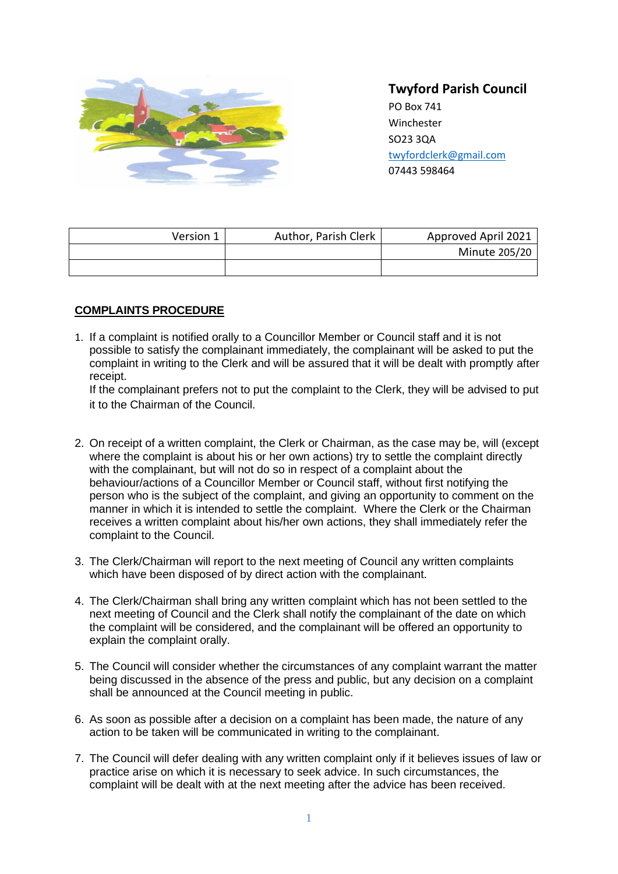

# **Twyford Parish Council**

PO Box 741 **Winchester** SO23 3QA [twyfordclerk@gmail.com](mailto:twyfordclerk@gmail.com) 07443 598464

| Version 1 | Author, Parish Clerk | Approved April 2021 |
|-----------|----------------------|---------------------|
|           |                      | Minute 205/20       |
|           |                      |                     |

## **COMPLAINTS PROCEDURE**

1. If a complaint is notified orally to a Councillor Member or Council staff and it is not possible to satisfy the complainant immediately, the complainant will be asked to put the complaint in writing to the Clerk and will be assured that it will be dealt with promptly after receipt.

If the complainant prefers not to put the complaint to the Clerk, they will be advised to put it to the Chairman of the Council.

- 2. On receipt of a written complaint, the Clerk or Chairman, as the case may be, will (except where the complaint is about his or her own actions) try to settle the complaint directly with the complainant, but will not do so in respect of a complaint about the behaviour/actions of a Councillor Member or Council staff, without first notifying the person who is the subject of the complaint, and giving an opportunity to comment on the manner in which it is intended to settle the complaint. Where the Clerk or the Chairman receives a written complaint about his/her own actions, they shall immediately refer the complaint to the Council.
- 3. The Clerk/Chairman will report to the next meeting of Council any written complaints which have been disposed of by direct action with the complainant.
- 4. The Clerk/Chairman shall bring any written complaint which has not been settled to the next meeting of Council and the Clerk shall notify the complainant of the date on which the complaint will be considered, and the complainant will be offered an opportunity to explain the complaint orally.
- 5. The Council will consider whether the circumstances of any complaint warrant the matter being discussed in the absence of the press and public, but any decision on a complaint shall be announced at the Council meeting in public.
- 6. As soon as possible after a decision on a complaint has been made, the nature of any action to be taken will be communicated in writing to the complainant.
- 7. The Council will defer dealing with any written complaint only if it believes issues of law or practice arise on which it is necessary to seek advice. In such circumstances, the complaint will be dealt with at the next meeting after the advice has been received.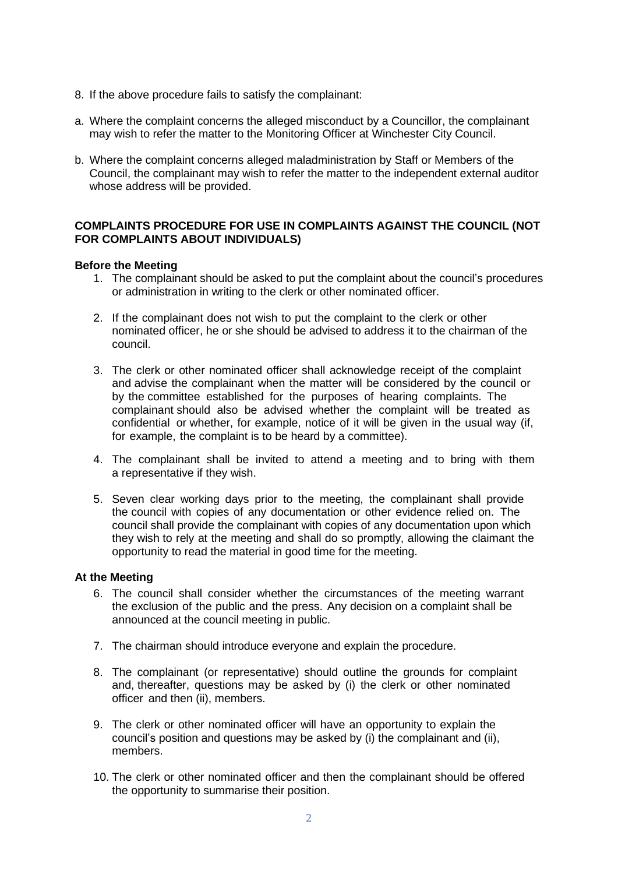- 8. If the above procedure fails to satisfy the complainant:
- a. Where the complaint concerns the alleged misconduct by a Councillor, the complainant may wish to refer the matter to the Monitoring Officer at Winchester City Council.
- b. Where the complaint concerns alleged maladministration by Staff or Members of the Council, the complainant may wish to refer the matter to the independent external auditor whose address will be provided.

## **COMPLAINTS PROCEDURE FOR USE IN COMPLAINTS AGAINST THE COUNCIL (NOT FOR COMPLAINTS ABOUT INDIVIDUALS)**

### **Before the Meeting**

- 1. The complainant should be asked to put the complaint about the council's procedures or administration in writing to the clerk or other nominated officer.
- 2. If the complainant does not wish to put the complaint to the clerk or other nominated officer, he or she should be advised to address it to the chairman of the council.
- 3. The clerk or other nominated officer shall acknowledge receipt of the complaint and advise the complainant when the matter will be considered by the council or by the committee established for the purposes of hearing complaints. The complainant should also be advised whether the complaint will be treated as confidential or whether, for example, notice of it will be given in the usual way (if, for example, the complaint is to be heard by a committee).
- 4. The complainant shall be invited to attend a meeting and to bring with them a representative if they wish.
- 5. Seven clear working days prior to the meeting, the complainant shall provide the council with copies of any documentation or other evidence relied on. The council shall provide the complainant with copies of any documentation upon which they wish to rely at the meeting and shall do so promptly, allowing the claimant the opportunity to read the material in good time for the meeting.

#### **At the Meeting**

- 6. The council shall consider whether the circumstances of the meeting warrant the exclusion of the public and the press. Any decision on a complaint shall be announced at the council meeting in public.
- 7. The chairman should introduce everyone and explain the procedure.
- 8. The complainant (or representative) should outline the grounds for complaint and, thereafter, questions may be asked by (i) the clerk or other nominated officer and then (ii), members.
- 9. The clerk or other nominated officer will have an opportunity to explain the council's position and questions may be asked by (i) the complainant and (ii), members.
- 10. The clerk or other nominated officer and then the complainant should be offered the opportunity to summarise their position.